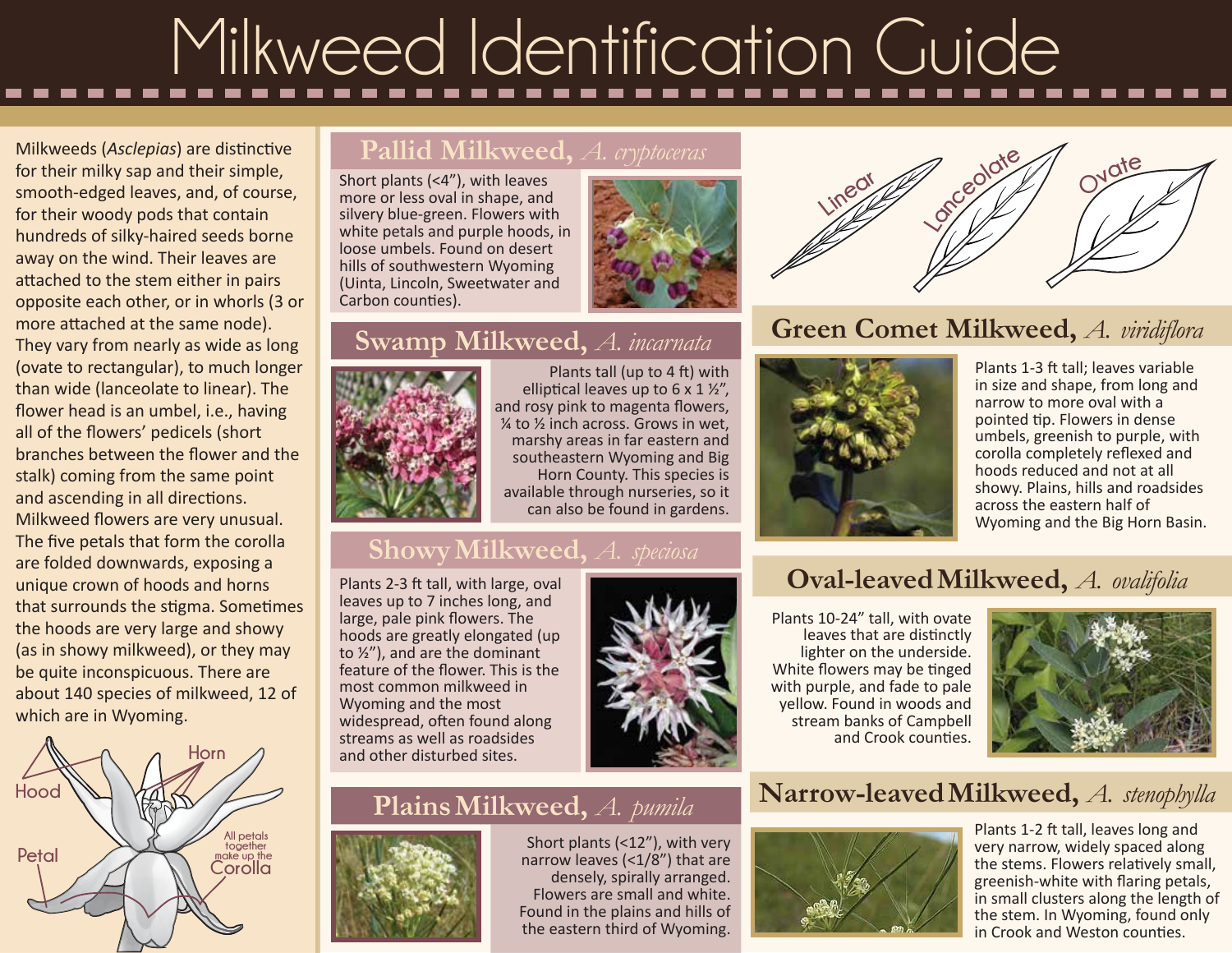# Milkweed Identification Guide

Milkweeds (*Asclepias*) are distinctive for their milky sap and their simple, smooth-edged leaves, and, of course, for their woody pods that contain hundreds of silky-haired seeds borne away on the wind. Their leaves are attached to the stem either in pairs opposite each other, or in whorls (3 or more attached at the same node). They vary from nearly as wide as long (ovate to rectangular), to much longer than wide (lanceolate to linear). The flower head is an umbel, i.e., having all of the flowers' pedicels (short branches between the flower and the stalk) coming from the same point and ascending in all directions. Milkweed flowers are very unusual. The five petals that form the corolla are folded downwards, exposing a unique crown of hoods and horns that surrounds the stigma. Sometimes the hoods are very large and showy (as in showy milkweed), or they may be quite inconspicuous. There are about 140 species of milkweed, 12 of which are in Wyoming.



#### **Pallid Milkweed,** *A. cryptoceras*

Short plants (<4"), with leaves more or less oval in shape, and silvery blue-green. Flowers with white petals and purple hoods, in loose umbels. Found on desert hills of southwestern Wyoming (Uinta, Lincoln, Sweetwater and Carbon counties).



# **Swamp Milkweed,** *A. incarnata*



Plants tall (up to 4 ft) with elliptical leaves up to 6 x 1 ½", and rosy pink to magenta flowers, ¼ to ½ inch across. Grows in wet, marshy areas in far eastern and southeastern Wyoming and Big Horn County. This species is available through nurseries, so it can also be found in gardens.

# **ShowyMilkweed,** *A. speciosa*

Plants 2-3 ft tall, with large, oval leaves up to 7 inches long, and large, pale pink flowers. The hoods are greatly elongated (up to ½"), and are the dominant feature of the flower. This is the most common milkweed in Wyoming and the most widespread, often found along streams as well as roadsides and other disturbed sites.



# **PlainsMilkweed,** *A. pumila*



Short plants (<12"), with very narrow leaves (<1/8") that are densely, spirally arranged. Flowers are small and white. Found in the plains and hills of the eastern third of Wyoming.



### **Green Comet Milkweed,** *A. viridiflora*



Plants 1-3 ft tall; leaves variable in size and shape, from long and narrow to more oval with a pointed tip. Flowers in dense umbels, greenish to purple, with corolla completely reflexed and hoods reduced and not at all showy. Plains, hills and roadsides across the eastern half of Wyoming and the Big Horn Basin.

### **Oval-leavedMilkweed,** *A. ovalifolia*

Plants 10-24" tall, with ovate leaves that are distinctly lighter on the underside. White flowers may be tinged with purple, and fade to pale yellow. Found in woods and stream banks of Campbell and Crook counties.



### **Narrow-leavedMilkweed,** *A. stenophylla*



Plants 1-2 ft tall, leaves long and very narrow, widely spaced along the stems. Flowers relatively small, greenish-white with flaring petals, in small clusters along the length of the stem. In Wyoming, found only in Crook and Weston counties.